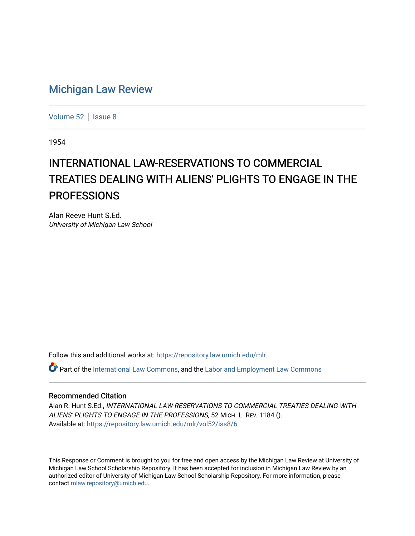## [Michigan Law Review](https://repository.law.umich.edu/mlr)

[Volume 52](https://repository.law.umich.edu/mlr/vol52) | [Issue 8](https://repository.law.umich.edu/mlr/vol52/iss8)

1954

# INTERNATIONAL LAW-RESERVATIONS TO COMMERCIAL TREATIES DEALING WITH ALIENS' PLIGHTS TO ENGAGE IN THE **PROFESSIONS**

Alan Reeve Hunt S.Ed. University of Michigan Law School

Follow this and additional works at: [https://repository.law.umich.edu/mlr](https://repository.law.umich.edu/mlr?utm_source=repository.law.umich.edu%2Fmlr%2Fvol52%2Fiss8%2F6&utm_medium=PDF&utm_campaign=PDFCoverPages) 

 $\bullet$  Part of the [International Law Commons,](http://network.bepress.com/hgg/discipline/609?utm_source=repository.law.umich.edu%2Fmlr%2Fvol52%2Fiss8%2F6&utm_medium=PDF&utm_campaign=PDFCoverPages) and the Labor and Employment Law Commons

#### Recommended Citation

Alan R. Hunt S.Ed., INTERNATIONAL LAW-RESERVATIONS TO COMMERCIAL TREATIES DEALING WITH ALIENS' PLIGHTS TO ENGAGE IN THE PROFESSIONS, 52 MICH. L. REV. 1184 (). Available at: [https://repository.law.umich.edu/mlr/vol52/iss8/6](https://repository.law.umich.edu/mlr/vol52/iss8/6?utm_source=repository.law.umich.edu%2Fmlr%2Fvol52%2Fiss8%2F6&utm_medium=PDF&utm_campaign=PDFCoverPages)

This Response or Comment is brought to you for free and open access by the Michigan Law Review at University of Michigan Law School Scholarship Repository. It has been accepted for inclusion in Michigan Law Review by an authorized editor of University of Michigan Law School Scholarship Repository. For more information, please contact [mlaw.repository@umich.edu](mailto:mlaw.repository@umich.edu).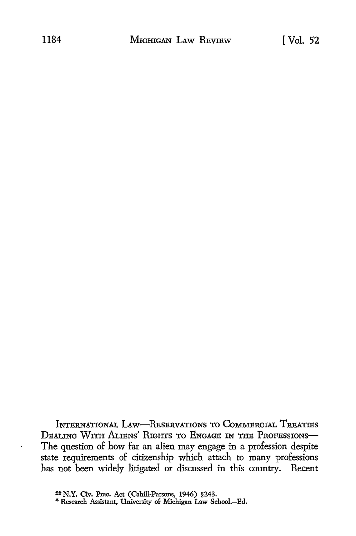INTERNATIONAL LAW-RESERVATIONS TO COMMERCIAL TREATIES **DEALING** WiTH **ALIENS' PLIGHTS** TO **ENGAGE** *IN* **THE** PRoFEsSIONs-The question of how far an alien may engage in a profession despite state requirements of citizenship which attach to many professions has not been widely litigated or discussed in this country. Recent

**<sup>22</sup> N.Y. Civ. Prac. Act (Cahill-Parsons, 1946) §243. \*** Research Assistant, University **of** Michigan Law School.-Ed.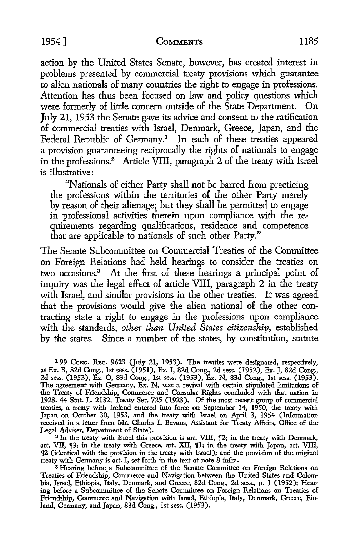action by the United States Senate, however, has created interest in problems presented by commercial treaty provisions which guarantee to alien nationals of many countries the right to engage in professions. Attention has thus been focused on law and policy questions which were formerly of little concern outside of the State Department. On July 21, 1953 the Senate gave its advice and consent to the ratification of commercial treaties with Israel, Denmark, Greece, Japan, and the Federal Republic of Germany.' In each of these treaties appeared a provision guaranteeing reciprocally the rights of nationals to engage in the professions.<sup>2</sup> Article VIII, paragraph 2 of the treaty with Israel is illustrative:

"Nationals of either Party shall not be barred from practicing the professions within the territories of the other Party merely by reason of their alienage; but they shall be permitted to engage in professional activities therein upon compliance with the requirements regarding qualifications, residence and competence that are applicable to nationals of such other Party."

The Senate Subcommittee on Commercial Treaties of the Committee on Foreign Relations had held hearings to consider the treaties on two occasions.3 At the first of these hearings a principal point of inquiry was the legal effect of article VIII, paragraph 2 in the treaty with Israel, and similar provisions in the other treaties. It was agreed that the provisions would give the alien national of the other contracting state a right to engage in the professions upon compliance with the standards, *other than United States citizenship,* established by the states. Since a number of the states, by constitution, statute

**199** CoNG. BRE. 9623 (July 21, 1953). The treaties were designated, respectively, as **Ex.** R, 82d Cong., 1st sess. (1951), Ex. I, 82d Cong., 2d sess. (1952), Ex. J, 82d Cong., **2d** sess. (1952), Ex. **0,** 83d Cong., 1st sess. (1953), **Ex.** N, 83d Cong., 1st sess. (1953). The agreement with Germany, Ex. N, was a revival with certain stipulated limitations of the Treaty of Friendship, Commerce and Consular Rights concluded with that nation in **1923.** 44 Stat. L. 2132, Treaty Ser. **725** (1923). **Of** the most recent group of commercial treaties, a treaty with Ireland entered into force on September 14, 1950, the treaty with Japan on October **30, 1953,** and the treaty with Israel on April **3,** 1954 (Information received in a letter from Mr. Charles I. Bevans, Assistant for Treaty Affairs, Office of the

Legal Adviser, Department of State).<br><sup>2</sup> In the treaty with Israel this provision is art. VIII, ¶2; in the treaty with Denmark, art. VII, J<sub>3</sub>; in the treaty with Greece, art. XII, J<sub>1</sub>; in the treaty with Japan, art. VIII, 2 (identical with the provision in the treaty with Israel); and the provision of the original treaty with Germany is art. **I,** set forth in the text at note 8 infra.

**<sup>3</sup>**Hearing before, a Subcommittee of the Senate Committee on Foreign Relations on Treaties of Friendship, Commerce and Navigation between the United States and Colombia, Israel, Ethiopia, Italy, Denmark, and Greece, 82d Cong., 2d sess., **p.** 1 (1952); Hearing before a Subcommittee of the Senate Committee on Foreign Relations on Treaties of Friendship, Commerce and Navigation with Israel, Ethiopia, Italy, Denmark, Greece, Finland, Germany, and Japan, **83d** Cong., 1st sess. (1953).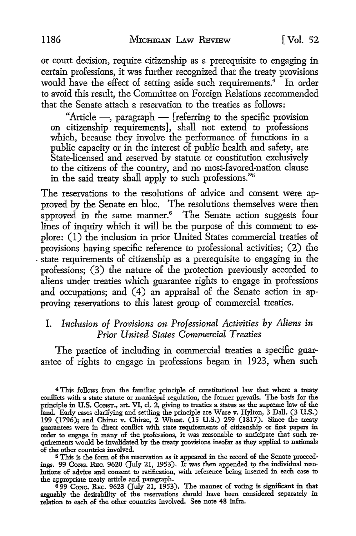or court decision, require citizenship as a prerequisite to engaging in certain professions, it was further recognized that the treaty provisions would have the effect of setting aside such requirements.<sup>4</sup> In order to avoid this result, the Committee on Foreign Relations recommended that the Senate attach a reservation to the treaties as follows:

"Article -, paragraph - [referring to the specific provision on citizenship requirements], shall not extend to professions which, because they involve the performance of functions in a public capacity or in the interest of public health and safety, are State-licensed and reserved by statute or constitution exclusively to the citizens of the country, and no most-favored-nation clause in the said treaty shall apply to such professions."<sup>5</sup>

The reservations to the resolutions of advice and consent were approved by the Senate en bloc. The resolutions themselves were then approved in the same manner.<sup>6</sup> The Senate action suggests four lines of inquiry which it will be the purpose of this comment to explore: (1) the inclusion in prior United States commercial treaties of provisions having specific reference to professional activities; (2) the state requirements of citizenship as a prerequisite to engaging in the professions; (3) the nature of the protection previously accorded to aliens under treaties which guarantee rights to engage in professions and occupations; and (4) an appraisal of the Senate action in approving reservations to this latest group of commercial treaties.

## *I. Inclusion of Provisions on Professional Activities* **by** *Aliens in Prior United States Commercial Treaties*

The practice of including in commercial treaties a specific guarantee of rights to engage in professions began in 1923, when such

**5** This is the form of the reservation as it appeared in the record of the Senate proceed-ings. 99 **CONG.** Rc. 9620 (July 21, **1953).** It was then appended to the individual resolutions of advice and consent to ratification, with reference being inserted in each case to the appropriate treaty article and paragraph.

**6 99** CONG. R-c. **9623** (July 21, **1953).** The manner of voting is significant in that arguably the desirability of the reservations should have been considered separately in relation to each of the other countries involved. See note 48 infra.

<sup>4</sup> This follows from the familiar principle of constitutional law that where a treaty conflicts with a state statute or municipal regulation, the former prevails. The basis for the principle in **U.S.** CoNST, art. VI, cl. 2, giving to treaties a status **as** the supreme law of the land. Early cases clarifying and settling the principle are Ware v. Hylton, 3 Dall. (3 U.S.) 199 (1796); and Chirac v. Chirac, 2 Wheat. (15 U.S.) 259 (1817). Since the treaty guarantees were in direct conflict with state requirements of citizenship or first papers in order to engage in many of the professions, it was reasonable to anticipate that such requirements would be invalidated **by** the treaty provisions insofar as they applied to nationals of the other countries involved.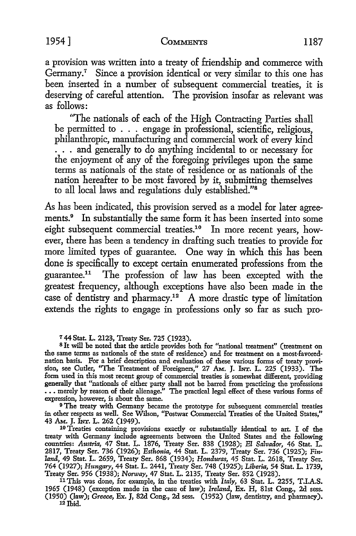a provision was written into a treaty of friendship and commerce with Germany.' Since a provision identical or very similar to this one has been inserted in a number of subsequent commercial treaties, it is deserving of careful attention. The provision insofar as relevant was as follows:

"The nationals of each of the High Contracting Parties shall be permitted to . . . engage in professional, scientific, religious, philanthropic, manufacturing and commercial work of every kind . . . and generally to do anything incidental to or necessary for the enjoyment of any of the foregoing privileges upon the same terms as nationals of the state of residence or as nationals of the nation hereafter to be most favored **by** it, submitting themselves to all local laws and regulations duly established."<sup>8</sup>

As has been indicated, this provision served as a model for later agreements.<sup>9</sup> In substantially the same form it has been inserted into some eight subsequent commercial treaties.10 In more recent years, however, there has been a tendency in drafting such treaties to provide for more limited types of guarantee. One way in which this has been done is specifically to except certain enumerated professions from the guarantee.<sup>1</sup> " The profession of law has been excepted with the greatest frequency, although exceptions have also been made in the case of dentistry and pharmacy.12 A more drastic type of limitation extends the rights to engage in professions only so far as such pro-

**<sup>7</sup>**44 Stat. L. **2123,** Treaty Ser. 725 **(1923). <sup>8</sup>**It will be noted that the article provides both for "national treatment" (treatment on the same terms as nationals of the state of residence) and for treatment on a most-favorednation basis. For a brief description and evaluation of these various forms of treaty provision, see Cutler, "The Treatment of Foreigners," 27 *Am.* **J.** INr. L. 225 **(1933).** The form used in this most recent **group** of commercial treaties is somewhat different, providing generally that "nationals of either party shall not be barred from practicing the professions **...** merely by reason of their alienage.' The practical legal effect of these various forms of expression, however, is about the same. **<sup>9</sup>**The treaty with Germany became the prototype for subsequent commercial treaties

in other respects as well. See Wilson, 'Postwar Commercial Treaties of the United States,"

<sup>10</sup> Treaties containing provisions exactly or substantially identical to art. I of the treaty with Germany include agreements between the United States and the following countries: *Austria,* 47 Stat. L. 1876, Treaty Ser. **838** (1928); *El Salvador,* 46 Stat. L. 2817, Treaty Ser. **736** (1926); *Esthonia,* 44 Stat. L. 2379, Treaty Ser. **736** (1925); *Finland,* 49 Stat. L. 2659, Treaty Ser. 868 (1934); *Honduras,* 45 Stat. L. 2618, Treaty Ser. 764 (1927); *Hungary,* 44 Stat. L. 2441, Treaty Ser. 748 (1925); *Liberia,* 54 Stat. L. 1739, Treaty Ser. 956 (1938); *Norway,* 47 Stat. L. 2135, Treaty Ser. 852 (1928).

<sup>11</sup> This was done, for example, in the treaties with *Italy*, 63 Stat. L. 2255, T.I.A.S. 1965 (1948) (exception made in the case of law); *Ireland,* **Ex.** H, 81st Cong., **2d** sess. (1950) (law); *Greece,* Ex. **J, 82d** Cong., 2d sess. (1952) (law, dentistry, and pharmacy). **<sup>12</sup>**Ibid.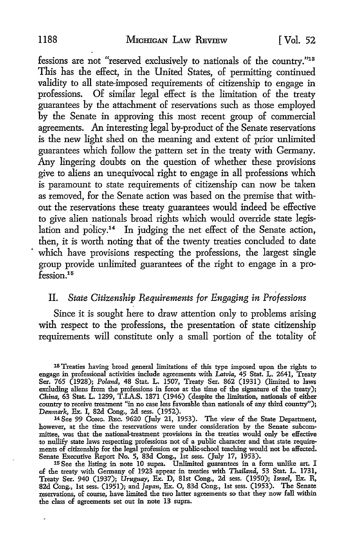fessions are not "reserved exclusively to nationals of the country."<sup>13</sup> This has the effect, in the United States, of permitting continued validity to all state-imposed requirements of citizenship to engage in professions. Of similar legal effect is the limitation of the treaty guarantees by the attachment of reservations such as those employed by the Senate in approving this most recent group of commercial agreements. An interesting legal by-product of the Senate reservations is the new light shed on the meaning and extent of prior unlimited guarantees which follow the pattern set in the treaty with Germany. Any lingering doubts on the question of whether these provisions give to aliens an unequivocal right to engage in all professions which is paramount to state requirements of citizenship can now be taken as removed, for the Senate action was based on the premise that without the reservations these treaty guarantees would indeed be effective to give alien nationals broad rights which would override state legislation and policy.<sup>14</sup> In judging the net effect of the Senate action, then, it is worth noting that of the twenty treaties concluded to date which have provisions respecting the professions, the largest single group provide unlimited guarantees of the right to engage in a pro $f$ ession<sup>15</sup>

## II. *State Citizenship Requirements for Engaging in Professions*

Since it is sought here to draw attention only to problems arising with respect to the professions, the presentation of state citizenship requirements will constitute only a small portion of the totality of

<sup>&</sup>lt;sup>18</sup> Treaties having broad general limitations of this type imposed upon the rights to engage in professional activities include agreements with *Latvia,* 45 Stat. L. 2641, Treaty Ser. 765 (1928); *Poland,* 48 Stat. L. 1507, Treaty Ser. 862 **(1931)** (limited to laws excluding aliens from the professions in force at the time of the signature of the treaty) *China,* 63 Stat. L. 1299, T.I.A.S. 1871 (1946) (despite the limitation, nationals of either country to receive treatment "in no case less favorable than nationals of any third country"); Denmark, **Ex.** I, 82d Cong., 2d sess. (1952). **<sup>14</sup>**See 99 **CoNG.** Rec. **9620** (July 21, 1953). The view of the State Department,

however, at the time the reservations were under consideration by the Senate subcommittee, was that the national-treatment provisions in the treaties would only be effective to nullify state laws respecting professions not of a public character and that state requirements of citizenship for the legal profession or public-school teaching would not be affected. Senate Executive Report No. 5, **83d** Cong., 1st sess. (July 17, 1953). **<sup>15</sup>**See the listing in note **10** supra. Unlimited guarantees in a form unlike art. I

of the treaty with Germany of 1923 appear in treaties with *Thailand,* 53 Stat. L. 1731, Treaty Ser. 940 (1937); *Uruguay,* Ex. D, 81st Cong., 2d sess. (1950); *Israel,* **Ex.** R, 82d Cong., Ist sess. (1951); and *Japan,* Ex. **0, 83d** Cong., 1st sess. (1953). The Senate reservations, of course, have limited the two latter agreements so that they now fall within the class of agreements set out in note **13** supra.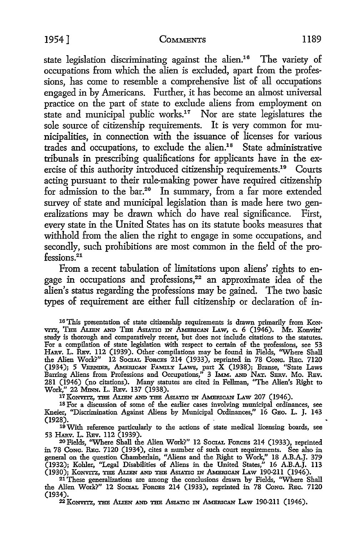state legislation discriminating against the alien.<sup>16</sup> The variety of occupations from which the alien is excluded, apart from the professions, has come to resemble a comprehensive list of all occupations engaged in by Americans. Further, it has become an almost universal practice on the part of state to exclude aliens from employment on state and municipal public works.<sup>17</sup> Nor are state legislatures the sole source of citizenship requirements. It is very common for municipalities, in connection with the issuance of licenses for various trades and occupations, to exclude the alien.<sup>18</sup> State administrative tribunals in prescribing qualifications for applicants have in the exercise of this authority introduced citizenship requirements.<sup>19</sup> Courts acting pursuant to their rule-making power have required citizenship for admission to the bar.<sup>20</sup> In summary, from a far more extended survey of state and municipal legislation than is made here two generalizations may be drawn which do have real significance. First, every state in the United States has on its statute books measures that withhold from the alien the right to engage in some occupations, and secondly, such prohibitions are most common in the field of the professions.<sup>21</sup>

From a recent tabulation of limitations upon aliens' rights to engage in occupations and professions,<sup>22</sup> an approximate idea of the alien's status regarding the professions may be gained. The two basic types of requirement are either full citizenship or declaration of in-

**16** This presentation of state citizenship requirements is drawn primarily from **KoN**vrrz, Tim Arrm **A** Tim AsriTxc **xzq** AamrmcA LAw, c. 6 (1946). Mr. Konvitz' study is thorough and comparatively recent, but does not include citations to the statutes. For a compilation of state legislation with respect to certain of the professions, see 53 HAnv. L. REv. 112 (1939). Other compilations may be found in Fields, "Where Shall the Alien Work?" 12 SocIAL FORCES 214 (1933), reprinted in 78 Conc. REC. 7120 (1934); 5 VERNIER, AMERICAN FAMILY LAWS, part  $\bar{X}$  (1938); Branse, "State Laws Barring Aliens from Professions and Occupations," 3 IMm. **Am NAT.** SERv. Mo. Rev. **281** (1946) (no citations). Many statutes are cited in Fellman, 'The Alien's Right to Work," 22 **Mnqw.** L. Rev. **137** (1938). <sup>17</sup>*KoWV=Z,* Ai.=N **AN** a Aswrrc **mN** AbaarucA LAw **207** (1946).

**18** For a discussion of some of the earlier cases involving municipal ordinances, see

Kneier, "Discrimination Against Aliens by Municipal Ordinances," 16 GEO. L. J. 143 (1928).

19With reference particularly to the actions of state medical licensing boards, see 53 HAnv. L. Rev. 112 (1939).

<sup>20</sup>Fields, "Where Shall the Alien Work?" 12 SociAL FoRcEs 214 (1933), reprinted in 78 **CONG.** Rec. 7120 (1934), cites a number of such court requirements. See also in general on the question Chamberlain, "Aliens and the Right to Work," 18 A.B.AJ. 379 (1932); Kohler, "Legal Disabilities of Aliens in the United States," 16 A.B.A.J. 113 (1930); Konvitz, the Alien and the Asiatic in American Law 190-211 (1946)

21These generalizations are among the conclusions drawn **by** Fields, "Where Shall the Alien Work?" 12 Socrar. Forces 214 (1933), reprinted in 78 Conc. REC. 7120 (1934). <sup>22</sup> Korrrz, m **AL=N AN am** Asrurc **IN** AMiamnrcN LAw 190-211 (1946).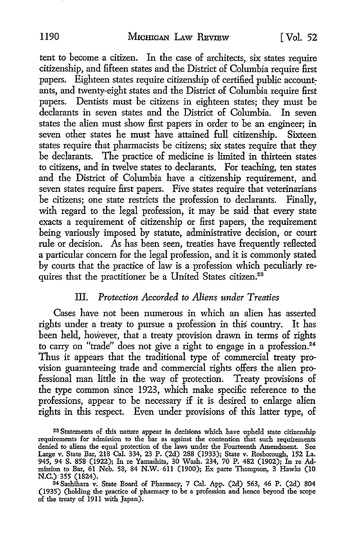tent to become a citizen. In the case of architects, six states require citizenship, and fifteen states and the District of Columbia require first papers. Eighteen states require citizenship of certified public accountants, and twenty-eight states and the District of Columbia require first papers. Dentists must be citizens in eighteen states; they must be declarants in seven states and the District of Columbia. In seven states the alien must show first papers in order to be an engineer; in seven other states he must have attained full citizenship. Sixteen states require that pharmacists be citizens; six states require that they be declarants. The practice of medicine is limited in thirteen states to citizens, and in twelve states to declarants. For teaching, ten states and the District of Columbia have a citizenship requirement, and seven states require first papers. Five states require that veterinarians be citizens; one state restricts the profession to declarants. Finally, with regard to the legal profession, it may be said that every state exacts a requirement of citizenship or first papers, the requirement being variously imposed by statute, administrative decision, or court rule or decision. As has been seen, treaties have frequently reflected a particular concern for the legal profession, and it is commonly stated by courts that the practice of law is a profession which peculiarly requires that the practitioner be a United States citizen.<sup>23</sup>

## III. *Protection Accorded to Aliens under Treaties*

Cases have not been numerous in which an alien has asserted rights under a treaty to pursue a profession in this country. It has been held, however, that a treaty provision drawn in terms of rights to carry on "trade" does not give a right to engage in a profession.<sup>24</sup> Thus it appears that the traditional type of commercial treaty provision guaranteeing trade and commercial rights offers the alien professional man little in the way of protection. Treaty provisions of the type common since 1923, which make specific reference to the professions, appear to be necessary if it is desired to enlarge alien rights in this respect. Even under provisions of this latter type, of

<sup>23</sup> Statements of this nature appear in decisions which have upheld state citizenship requirements for admission to the bar as against the contention that such requirements denied to aliens the equal protection of the laws under the Fourteenth Amendment. See Large v. State Bar, 218 Cal. 334, 23 P. (2d) 288 (1933); State v. Rosborough, **152** La. 945, 94 S. 858 (1922); In re Yamashita, 30 Wash. 234, 70 P. 482 (1902); In re Admission to Bar, 61 Neb. 58, 84 N.W. 611 (1900); Ex parte Thompson, 3 Hawks (10 N.C.) **355** (1824). <sup>24</sup> Sashihara v. State Board of Pharmacy, 7 Cal. App. (2d) 563, 46 P. (2d) 804

<sup>(1935) (</sup>holding the practice of pharmacy to be a profession and hence beyond the scope of the treaty of 1911 with Japan).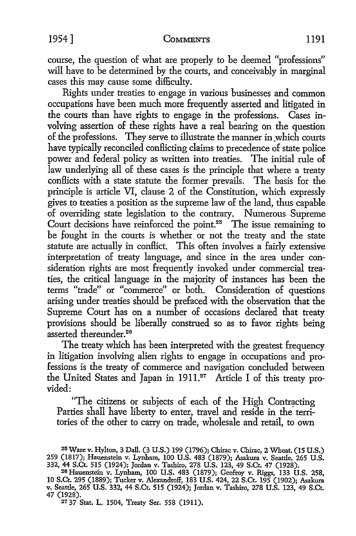course, the question of what are properly to be deemed "professions" will have to be determined by the courts, and conceivably in marginal cases this may cause some difficulty.

Rights under treaties to engage in various businesses and common occupations have been much more frequently asserted and litigated in the courts than have rights to engage in the professions. Cases involving assertion of these rights have a real bearing on the question of the professions. They serve to illustrate the manner in which courts have typically reconciled conflicting claims to precedence of state police power and federal policy as written into treaties. The initial rule of law underlying all of these cases is the principle that where a treaty conflicts with a state statute the former prevails. The basis for the principle is article VI, clause 2 of the Constitution, which expressly gives to treaties a position as the supreme law of the land, thus capable of overriding state legislation to the contrary. Numerous Supreme Court decisions have reinforced the point.<sup>25</sup> The issue remaining to be fought in the courts is whether or not the treaty and the state statute are actually in conflict. This often involves a fairly extensive interpretation of treaty language, and since in the area under consideration rights are most frequently invoked under commercial treaties, the critical language in the majority of instances has been the terms "trade" or "commerce" or both. Consideration of questions arising under treaties should be prefaced with the observation that the Supreme Court has on a number of occasions declared that treaty provisions should be liberally construed so as to favor rights being asserted thereunder.<sup>26</sup>

The treaty which has been interpreted with the greatest frequency in litigation involving alien rights to engage in occupations and professions is the treaty of commerce and navigation concluded between the United States and Japan in 1911.<sup>27</sup> Article I of this treaty provided:

"The citizens or subjects of each of the High Contracting Parties shall have liberty to enter, travel and reside in the territories of the other to carry on trade, wholesale and retail, to own

<sup>25</sup> Ware v. Hylton, 3 Dall. (3 U.S.) 199 (1796); Chirac v. Chirac, 2 Wheat. (15 U.S.) 259 (1817); Hauenstein v. Lynhlam, 100 U.S. 483 (1879); Asakura v. Seattle, 265 U.S. 332, 44 S.Ct. 515 (1924); Jordan v. Tashiro, 278 U.S. 123, 49 S.Ct. 47 (1928). **<sup>26</sup>**Hauenstein v. Lynham, 100 U.S. 483 (1879); Geofroy v. Riggs, 133 U.S. 258,

<sup>10</sup> S.Ct. 295 (1889); Tucker v. Alexandroff, 183 U.S. 424, 22 S.Ct. 195 (1902); Asakura v. Seattle, 265 U.S. 332, 44 S.Ct. 515 (1924); Jordan v. Tashiro, 278 U.S. 123, 49 S.Ct. v. Seattle, 265 U.S. 332, 44 S.Ct. 515 (1924); Jordan v. Tashiro, 278 U.S. 123, 49 S.Ct.<br>47 (1928).

**<sup>27 37</sup>** Stat. L. 1504, Treaty Ser. **558 (1911).**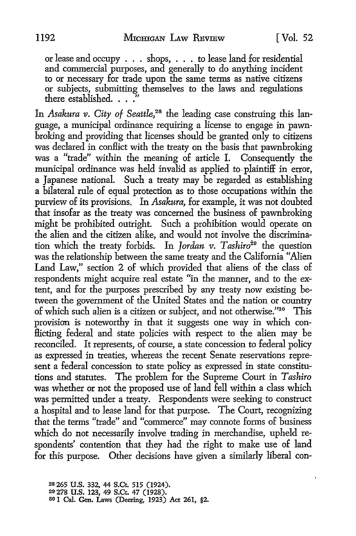or lease and occupy . . . shops, **. .** . to lease land for residential and commercial purposes, and generally to do anything incident to or necessary for trade upon the same terms as native citizens or subjects, submitting themselves to the laws and regulations there established. **.. ."**

In *Asakura v. City of Seattle,28* the leading case construing this language, a municipal ordinance requiring a license to engage in pawnbroking and providing that licenses should be granted only to citizens was declared in conflict with the treaty on the basis that pawnbroking was a "trade" within the meaning of article I. Consequently the municipal ordinance was held invalid as applied to, plaintiff in error, a Japanese national. Such a treaty may be regarded as establishing a bilateral rule of equal protection as to those occupations within the purview of its provisions. In *Asakura,* for example, it was not doubted that insofar as the treaty was concerned the business of pawnbroking might be prohibited outright. Such a prohibition would operate on the alien and the citizen alike, and would not involve the discrimination which the treaty forbids. In *Jordan v. Tashiro<sup>29</sup>* the question was the relationship between the same treaty and the California "Alien Land Law," section 2 of which provided that aliens of the class of respondents might acquire real estate "in the manner, and to the extent, and for the purposes prescribed by any treaty now existing between the government of the United States and the nation or country of which such alien is a citizen or subject, and not otherwise."30 This provision is noteworthy in that it suggests one way in which conflicting federal and state policies with respect to the alien may be reconciled. It represents, of course, a state concession to federal policy as expressed in treaties, whereas the recent Senate reservations represent a federal concession to state policy as expressed in state constitutions and statutes. The problem for the Supreme Court in *Tashiro* was whether or not the proposed use of land fell within a class which was permitted under a treaty. Respondents were seeking to construct a hospital and to lease land for that purpose. The Court, recognizing that the terms "trade" and "commerce" may connote forms of business which do not necessarily involve trading in merchandise, upheld respondents' contention that they had the right to make use of land for this purpose. Other decisions have given a similarly liberal con-

**28265 U.S. 332,** 44 **S.Ct. 515** (1924). **29278 U.S. 123,** 49 S.Ct. 47 **(1928). 8O 1** Cal. Gen. Laws (Deering, **1923) Act 261, §2.**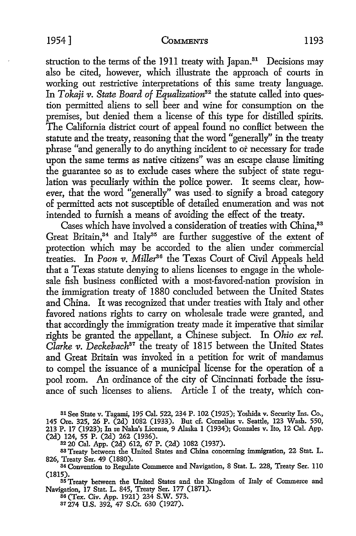struction to the terms of the 1911 treaty with Japan.<sup>31</sup> Decisions may also be cited, however, which illustrate the approach of courts in working out restrictive interpretations of this same treaty language. In *Tokaji v. State Board of Equalization*<sup>32</sup> the statute called into question permitted aliens to sell beer and wine for consumption on the premises, but denied them a license of this type for distilled spirits. The California district court of appeal found no conflict between the statute and the treaty, reasoning that the word "generally" in the treaty phrase "and generally to do anything incident to or necessary for trade upon the same terms as native citizens" was an escape clause limiting the guarantee so as to exclude cases where the subject of state regulation was peculiarly within the police power. It seems clear, however, that the word "generally" was used. to signify a broad category of permitted acts not susceptible of detailed enumeration and was not intended to furnish a means of avoiding the effect of the treaty.

Cases which have involved a consideration of treaties with China,<sup>33</sup> Great Britain, $34$  and Italy $35$  are further suggestive of the extent of protection which may be accorded to the alien under commercial treaties. In *Poon v. Miller<sup>36</sup>* the Texas Court of Civil Appeals held that a Texas statute denying to aliens licenses to engage in the wholesale fish business conflicted with a most-favored-nation provision in the immigration treaty of 1880 concluded between the United States and China. It was recognized that under treaties with Italy and other favored nations rights to carry on wholesale trade were granted, and that accordingly the immigration treaty made it imperative that similar rights be granted the appellant, a Chinese subject. In *Ohio ex rel. Clarke v. Deckebach<sup>37</sup>* the treaty of 1815 between the United States and Great Britain was invoked in a petition for writ of mandamus to compel the issuance of a municipal license for the operation of a pool room. An ordinance of the city of Cincinnati forbade the issuance of such licenses to aliens. Article I of the treaty, which con-

**<sup>31</sup>**See State v. Tagami, 195 Cal. 522, 234 P. 102 (1925); Yoshida v. Security Ins. Co., 145 Ore. 325, 26 P. (2d) 1082 (1933). But cf. Cornelius v. Seattle, **123** Wash. 550, **213** P. 17 (1923); In re Naka's License, 9 Alaska 1 (1934); Gonzales v. Ito, 12 Cal. App. (2d) 124, 55 P. (2d) 262 (1936).

**32** 20 Cal. App. (2d) 612, 67 P. (2d) 1082 (1937).

83 Treaty between the United States and China concerning immigration, 22 Stat. L. 826, Treaty Ser. 49 (1880). <sup>3</sup>

<sup>34</sup> Convention to Regulate Commerce and Navigation, 8 Stat. L. 228, Treaty Ser. 110 (1815).

**S3** Treaty between the United States and the Kingdom of Italy of Commerce and Navigation, 17 Stat. L. 845, Treaty Ser. 177 (1871). **<sup>3</sup> <sup>6</sup>**(Tex. Civ. App. 1921) 234 S.W. **573.**

**37** 274 U.S. 392, 47 S.Ct. 630 (1927).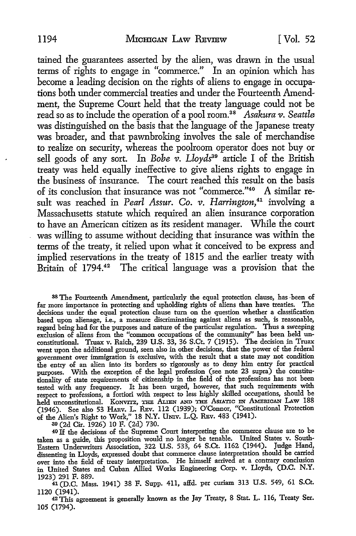tamined the guarantees asserted by the alien, was drawn in the usual terms of rights to engage in "commerce." In an opinion which has become a leading decision on the rights of aliens to engage in occupations both under commercial treaties and under the Fourteenth Amendment, the Supreme Court held that the treaty language could not be read so as to include the operation of a pool room.<sup>38</sup> Asakura *v*. Seattle was distinguished on the basis that the language of the Japanese treaty was broader, and that pawnbroking involves the sale of merchandise to realize on security, whereas the poolroom operator does not buy or sell goods of any sort. In Bobe v. Lloyds<sup>39</sup> article I of the British treaty was held equally ineffective to give aliens rights to engage in the business of insurance. The court reached this result on the basis of its conclusion that insurance was not "commerce."<sup>40</sup> A similar result was reached in *Pearl Assur. Co. v. Harrington*,<sup>41</sup> involving a Massachusetts statute which required an alien insurance corporation to have an American citizen as its resident manager. While the court was willing to assume without deciding that insurance was within the terms of the treaty, it relied upon what it conceived to be express and implied reservations in the treaty of 1815 and the earlier treaty with Britain of 1794.<sup>42</sup> The critical language was a provision that the

**<sup>38</sup>**The Fourteenth Amendment, particularly the equal protection clause, has been of far more importance in protecting and upholding rights of aliens than have treaties. The decisions under the equal protection clause turn on the question whether a classification based upon alienage, i.e., a measure discriminating against aliens as such, is reasonable, regard being had for the purposes and nature of the particular regulation. Thus a sweeping exclusion of aliens from the "common occupations of the community" has been held **un**constitutional. Truax v. Raich, 239 U.S. 33, 36 S.Ct. 7 (1915). The decision in Truax went upon the additional ground, seen also in other decisions, that the power of the federal government over immigration is exclusive, with the result that a state may not condition the entry of an alien into **its** borders so rigorously as to deny him entry for practical purposes. With the exception of the legal profession (see note 23 supra) the constitutionality of state requirements of citizenship in the field of the professions has not been tested with any frequency. It has been urged, however, that such requirements with respect to professions, a fortiori with respect to less highly skilled occupations, should be held unconstitutional. KONVITZ, THE ALIEN AND THE ASIATIC IN AMERICAN LAW 188 (1946). See also 53 HAnv. L. REv. 112 (1939); O'Connor, "Constitutional Protection of the Alien's Right to Work," **18** N.Y. UNiv. L.Q. Rnv. 483 (1941).

**39** (2d Cir. 1926) **10** F. (2d) 730.

40 If the decisions of the Supreme Court interpreting the commerce clause are to be taken as a guide, this proposition would no longer be tenable. United States v. South-Eastern Underwriters Association, 322 U.S. 533, 64 S.Ct. 1162 (1944). Judge Hand, dissenting in Lloyds, expressed doubt that commerce clause interpretation should be carried over into the field of treaty interpretation. He himself arrived at a contrary conclusion in United States and Cuban Allied Works Engineering Corp. v. Lloyds, (D.C. N.Y. 1923) 291 F. 889.

41 (D.C. Mass. 1941) 38 F. Supp. 411, affd. per curiam 313 U.S. 549, 61 S.Ct. 1120 (1941).

42This agreement is generally known as the Jay Treaty, 8 Stat. L. **116,** Treaty Ser. 105 (1794).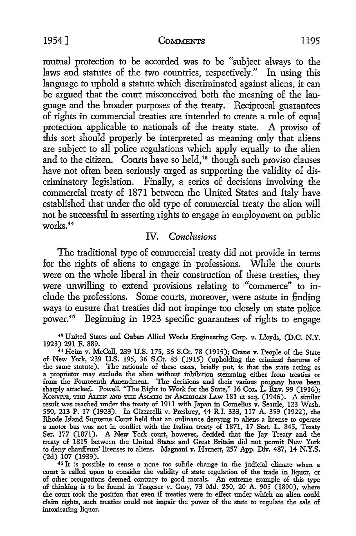mutual protection to be accorded was to be "subject always to the laws and statutes of the two countries, respectively." In using this language to uphold a statute which discriminated against aliens, it can be argued that the court misconceived both the meaning of the language and the broader purposes of the treaty. Reciprocal guarantees of rights in commercial treaties are intended to create a rule of equal protection applicable to nationals of the treaty state. A proviso of this sort should properly be interpreted as meaning only that aliens are subject to all police regulations which apply equally to the alien and to the citizen. Courts have so held,<sup>43</sup> though such proviso clauses have not often been seriously urged as supporting the validity of discriminatory legislation. Finally, a series of decisions involving the commercial treaty of 1871 between the United States and Italy have established that under the old type of commercial treaty the alien will not be successful in asserting rights to engage in employment on public works. <sup>44</sup>

## IV. *Conclusions*

The traditional type of commercial treaty did not provide in terms for the rights of aliens to engage in professions. While the courts were on the whole liberal in their construction of these treaties, they were unwilling to extend provisions relating to "commerce" to include the professions. Some courts, moreover, were astute in finding ways to ensure that treaties did not impinge too closely on state police power.45 Beginning in 1923 specific guarantees of rights to engage

43 United States and Cuban Allied Works Engineering Corp. v. Lloyds, **(D.C.** N.Y.

**1923) 291** F. 889. <sup>44</sup> Heim v. McCall, **239** U.S. 175, **36** S.Ct. 78 **(1915);** Crane v. People of the State of New York, **239 U.S.** 195, **36** S.Ct. 85 (1915) (upholding the criminal features of the same statute). The rationale of these cases, briefly put, is that the state acting as<br>a proprietor may exclude the alien without inhibition stemming either from treaties or<br>from the Fourteenth Amendment. The decisions sharply attacked. Powell, "The Right to Work for the State," 16 Cor. L. REv. 99 (1916) KONVITZ, THE ALLEN AND THE ASIATIC IN AMERICAN LAW 181 et seq. (1946). A similar result was reached under the treaty of **1911** with Japan in Cornelius v. Seattle, **123** Wash. 550, **213** P. **17** (1923). In Gizzarelli v. Presbrey, 44 R.I. **333, 117** A. **359** (1922), the Rhode Island Supreme Court held that an ordinance denying to aliens a license to operate a motor bus was not in conflict with the Italian treaty of **1871, 17** Stat. L. 845, Treaty Ser. **177** (1871). A New York court, however, decided that the Jay Treaty and the treaty of **1815** between the United States and Great Britain did not permit New York to deny chauffeurs' licenses to aliens. Magnani v. Harnett, 257 App. Div. 487, 14 N.Y.S. (2d) 107 (1939).

<sup>45</sup> It is possible to sense a none too subtle change in the judicial climate when a court is called upon to consider the validity of state regulation of the trade in liquor, or of other occupations deemed contrary to good of thinking is to be found in Trageser v. Gray, **73** Md. 250, 20 A. 905 (1890), where the court took the position that even if treaties were in effect under which an alien could claim rights, such treaties could not impair the power of the state to regulate the sale of intoxicating liquor.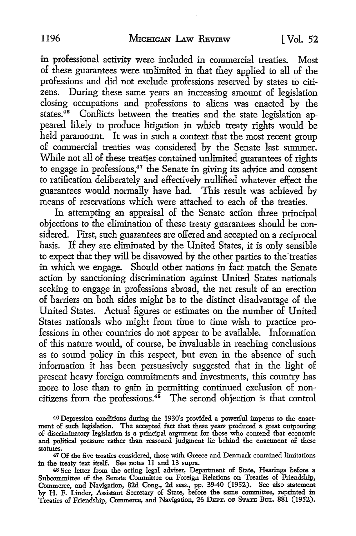in professional activity were included in commercial treaties. Most of these guarantees were unlimited in that they applied to all of the professions and did not exclude professions reserved by states to citizens. During these same years an increasing amount of legislation closing occupations and professions to aliens was enacted by the states.<sup>46</sup> Conflicts between the treaties and the state legislation appeared likely to produce litigation in which treaty rights would be held paramount. It was in such a context that the most recent group of commercial treaties was considered by the Senate last summer. While not all of these treaties contained unlimited guarantees of rights to engage in professions,<sup>47</sup> the Senate in giving its advice and consent to ratification deliberately and effectively nullified whatever effect the guarantees would normally have had. This result was achieved by means of reservations which were attached to each of the treaties.

In attempting an appraisal of the Senate action three principal objections to the elimination of these treaty guarantees should be considered. First, such guarantees are offered and accepted on a reciprocal basis. If they are eliminated by the United States, it is only sensible to expect that they will be disavowed by the other parties to the'treaties in which we engage. Should other nations in fact match the Senate action by sanctioning discrimination against United States nationals seeking to engage in professions abroad, the net result of an erection of barriers on both sides might be to the distinct disadvantage of the United States. Actual figures or estimates on the number of United States nationals who might from time to time wish to practice professions in other countries do not appear to be available. Information of this nature would, of course, be invaluable in reaching conclusions as to sound policy in this respect, but even in the absence of such information it has been persuasively suggested that in the light of present heavy foreign commitments and investments, this country has more to lose than to gain in permitting continued exclusion of noncitizens from the professions.<sup>48</sup> The second objection is that control

<sup>4</sup> 6 Depression conditions during the 1930's provided a powerful impetus to the enactment of such legislation. The accepted fact that these years produced a great outpouring of discriminatory legislation is a principal argument for those who contend that economic and political pressure rather than reasoned judgment lie behind the enactment of these statutes.

<sup>47</sup> Of the five treaties considered, those with Greece and Denmark contained limitations in the treaty text itself. See notes **11** and **13** supra. **<sup>48</sup>**See letter from the acting legal adviser, Department of State, Hearings before a

Subcommittee of the Senate Committee on Foreign Relations on Treaties of Friendship, Commerce, and Navigation, **82d** Cong., **2d** sess., **pp.** 39-40 (1952). See also statement by H. F. Linder, Assistant Secretary of State, before the same committee, reprinted in Treaties of Friendship, Commerce, and Navigation, **26 DEPTr.** op **STATn BUL. 881** (1952).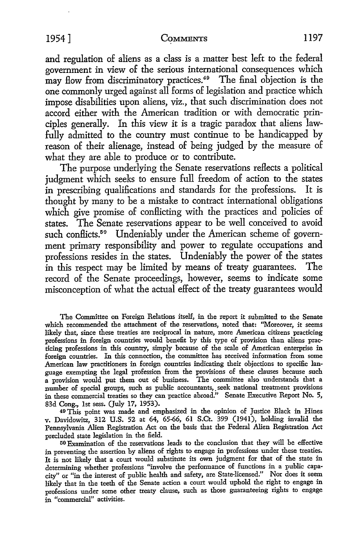#### 19541 **COMMENTS** 1197

and regulation of aliens as a class is a matter best left to the federal government in view of the serious international consequences which may flow from discriminatory practices.<sup>49</sup> The final objection is the one commonly urged against all forms of legislation and practice which impose disabilities upon aliens, viz., that such discrimination does not accord either with the American tradition or with democratic principles generally. In this view it is a tragic paradox that aliens lawfully admitted to the country must continue to be handicapped **by** reason of their alienage, instead of being judged **by** the measure of what they are able to produce or to contribute.

The purpose underlying the Senate reservations reflects a political judgment which seeks to ensure full freedom of action to the states in prescribing qualifications and standards for the professions. It is thought **by** many to be a mistake to contract international obligations which give promise of conflicting with the practices and policies of states. The Senate reservations appear to be well conceived to avoid such conflicts.<sup>59</sup> Undeniably under the American scheme of government primary responsibility and power to regulate occupations and professions resides in the states. Undeniably the power of the states in this respect may be limited **by** means of treaty guarantees. **The** record of the Senate proceedings, however, seems to indicate some misconception of what the actual effect of the treaty guarantees would

The Committee on Foreign Relations itself, in the report it submitted to the Senate which recommended the attachment of the reservations, noted that: "Moreover, **it** seems likely that, since these treaties are reciprocal in nature, more American citizens practicing professions in foreign countries would benefit by this type of provision than aliens practicing professions in this country, simply because of the scale of American enterprise in foreign countries. In this connection, the committee has received information from some American law practitioners in foreign countries indicating their objections to specific language exempting the legal profession from the provisions of these clauses because such a provision would put them out of business. The committee also understands that a number of special groups, such as public accountants,. seek national treatment provisions in these commercial treaties so they can practice abroad." Senate Executive Report No. **5, 83d** Cong., **1st** sess. (July **17, 1953).**

49This point was made and emphasized in the opinion of Justice Black in Hines v. Davidowitz, **312 U.S.** 52 at 64, 65-66, **61** S.Ct. 399 (1941), holding invalid the Pennsylvania Alien Registration Act on the basis that the Federal Alien Registration Act precluded state legislation in the field.

50 OExamination of the reservations leads to the conclusion that they will be effective in preventing the assertion **by** aliens of rights to engage in professions under these treaties. It is not likely that a court would substitute **its** own judgment for that of the state in determining whether professions "involve the performance of functions in a public capacity" or "in the interest of public health and safety, are State-licensed." Nor does **it** seem likely that in the teeth of the Senate action a court would uphold the right to engage in professions under some other treaty clause, such as those guaranteeing rights to engage in "commercial" activities.